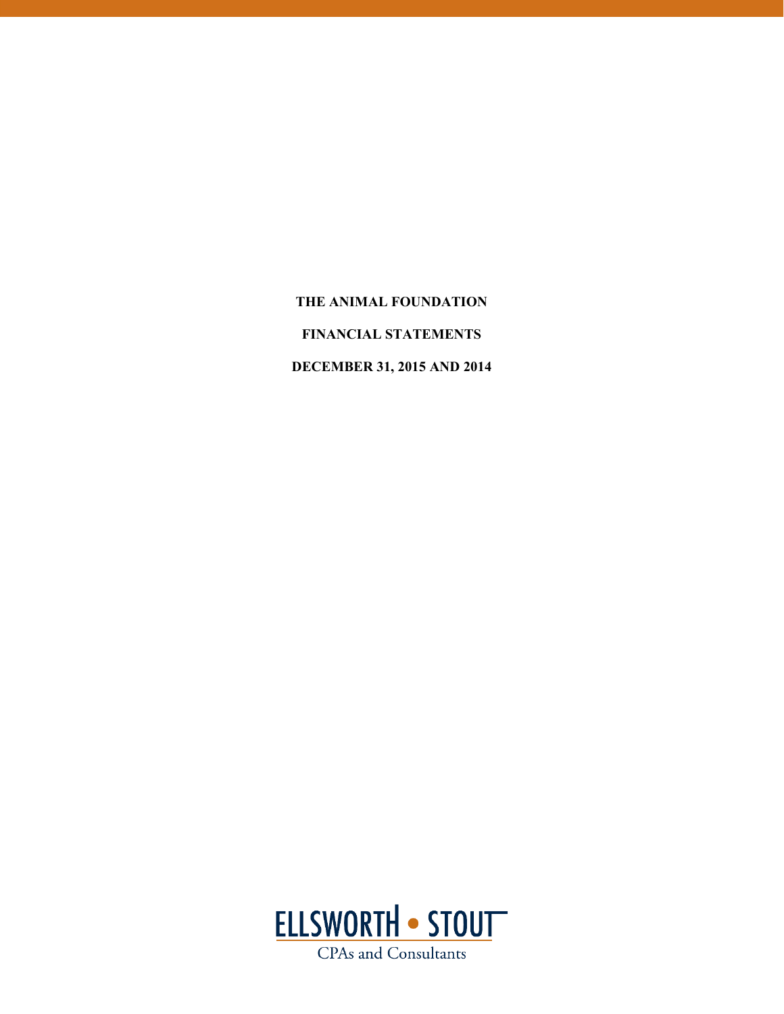**THE ANIMAL FOUNDATION FINANCIAL STATEMENTS DECEMBER 31, 2015 AND 2014** 

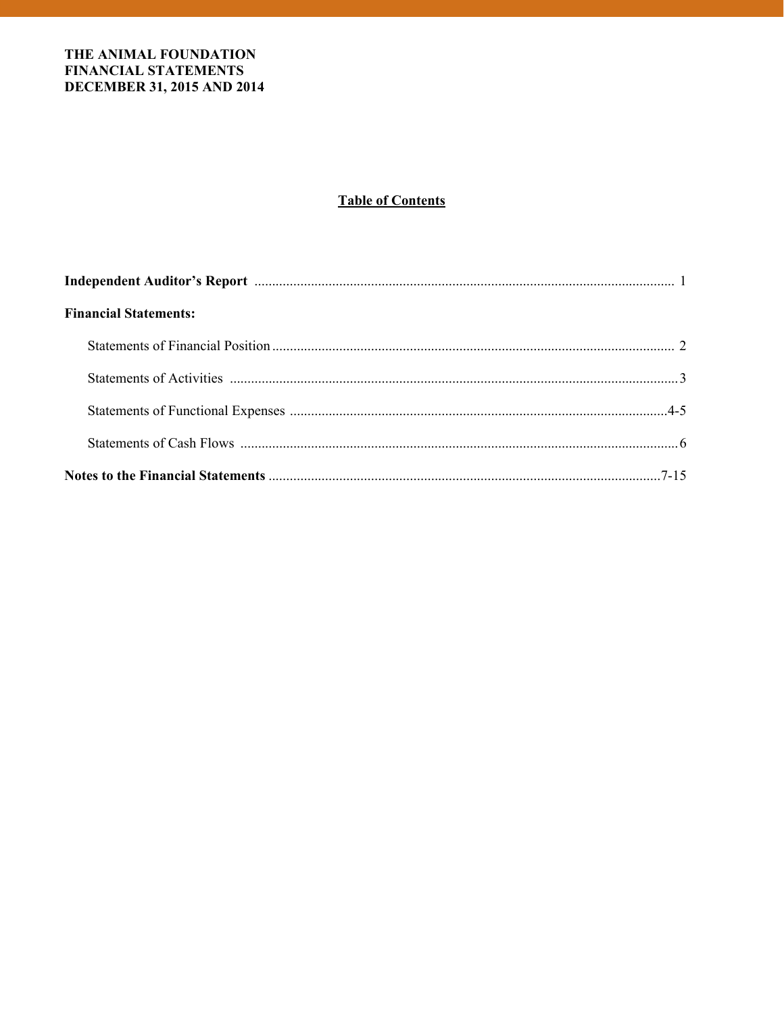# **Table of Contents**

| <b>Financial Statements:</b> |  |
|------------------------------|--|
|                              |  |
|                              |  |
|                              |  |
|                              |  |
|                              |  |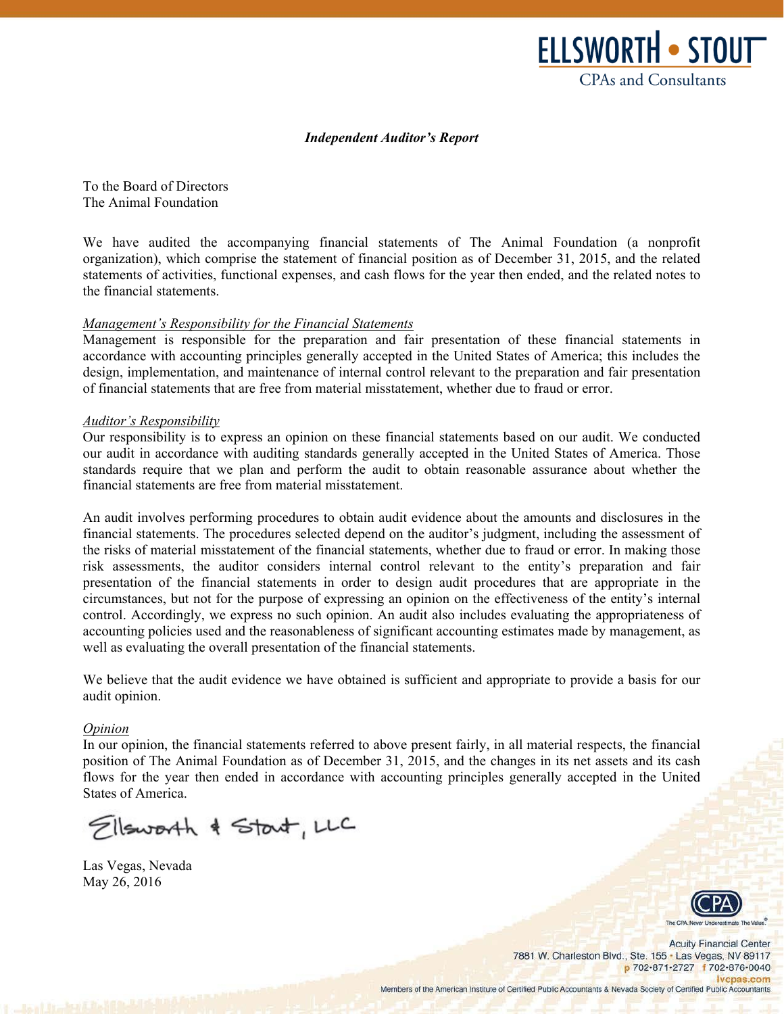

#### *Independent Auditor's Report*

To the Board of Directors The Animal Foundation

We have audited the accompanying financial statements of The Animal Foundation (a nonprofit organization), which comprise the statement of financial position as of December 31, 2015, and the related statements of activities, functional expenses, and cash flows for the year then ended, and the related notes to the financial statements.

#### *Management's Responsibility for the Financial Statements*

Management is responsible for the preparation and fair presentation of these financial statements in accordance with accounting principles generally accepted in the United States of America; this includes the design, implementation, and maintenance of internal control relevant to the preparation and fair presentation of financial statements that are free from material misstatement, whether due to fraud or error.

#### *Auditor's Responsibility*

Our responsibility is to express an opinion on these financial statements based on our audit. We conducted our audit in accordance with auditing standards generally accepted in the United States of America. Those standards require that we plan and perform the audit to obtain reasonable assurance about whether the financial statements are free from material misstatement.

An audit involves performing procedures to obtain audit evidence about the amounts and disclosures in the financial statements. The procedures selected depend on the auditor's judgment, including the assessment of the risks of material misstatement of the financial statements, whether due to fraud or error. In making those risk assessments, the auditor considers internal control relevant to the entity's preparation and fair presentation of the financial statements in order to design audit procedures that are appropriate in the circumstances, but not for the purpose of expressing an opinion on the effectiveness of the entity's internal control. Accordingly, we express no such opinion. An audit also includes evaluating the appropriateness of accounting policies used and the reasonableness of significant accounting estimates made by management, as well as evaluating the overall presentation of the financial statements.

We believe that the audit evidence we have obtained is sufficient and appropriate to provide a basis for our audit opinion.

#### *Opinion*

In our opinion, the financial statements referred to above present fairly, in all material respects, the financial position of The Animal Foundation as of December 31, 2015, and the changes in its net assets and its cash flows for the year then ended in accordance with accounting principles generally accepted in the United States of America.

Ellsworth & Start, LLC

Las Vegas, Nevada May 26, 2016



**Acuity Financial Center** 7881 W. Charleston Blvd., Ste. 155 . Las Vegas, NV 89117 p 702-871-2727 f 702-876-0040 Ivcpas.com Members of the American Institute of Certified Public Accountants & Nevada Society of Certified Public Accountants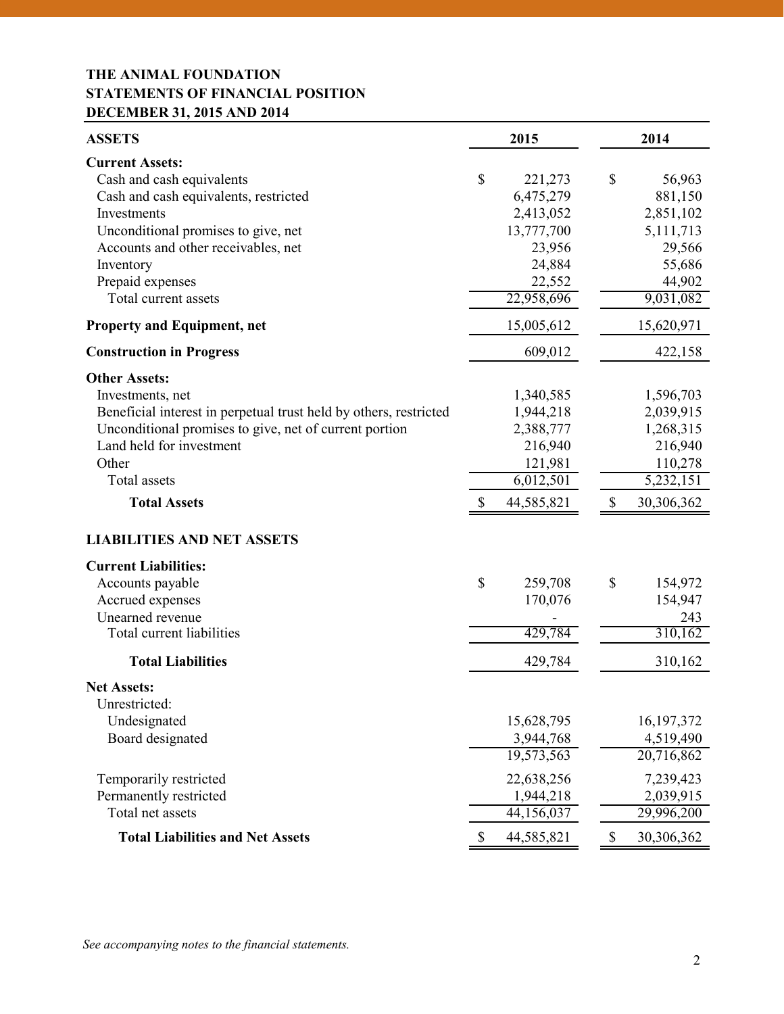# **THE ANIMAL FOUNDATION STATEMENTS OF FINANCIAL POSITION DECEMBER 31, 2015 AND 2014**

| <b>ASSETS</b>                                                                                                                                                                                                                                              |              | 2015                                                                                        | 2014                                                                                         |
|------------------------------------------------------------------------------------------------------------------------------------------------------------------------------------------------------------------------------------------------------------|--------------|---------------------------------------------------------------------------------------------|----------------------------------------------------------------------------------------------|
| <b>Current Assets:</b><br>Cash and cash equivalents<br>Cash and cash equivalents, restricted<br>Investments<br>Unconditional promises to give, net<br>Accounts and other receivables, net<br>Inventory<br>Prepaid expenses<br>Total current assets         | \$           | 221,273<br>6,475,279<br>2,413,052<br>13,777,700<br>23,956<br>24,884<br>22,552<br>22,958,696 | \$<br>56,963<br>881,150<br>2,851,102<br>5,111,713<br>29,566<br>55,686<br>44,902<br>9,031,082 |
| <b>Property and Equipment, net</b>                                                                                                                                                                                                                         |              | 15,005,612                                                                                  | 15,620,971                                                                                   |
| <b>Construction in Progress</b>                                                                                                                                                                                                                            |              | 609,012                                                                                     | 422,158                                                                                      |
| <b>Other Assets:</b><br>Investments, net<br>Beneficial interest in perpetual trust held by others, restricted<br>Unconditional promises to give, net of current portion<br>Land held for investment<br>Other<br><b>Total</b> assets<br><b>Total Assets</b> | $\mathbb{S}$ | 1,340,585<br>1,944,218<br>2,388,777<br>216,940<br>121,981<br>6,012,501<br>44,585,821        | \$<br>1,596,703<br>2,039,915<br>1,268,315<br>216,940<br>110,278<br>5,232,151<br>30,306,362   |
|                                                                                                                                                                                                                                                            |              |                                                                                             |                                                                                              |
| <b>LIABILITIES AND NET ASSETS</b><br><b>Current Liabilities:</b><br>Accounts payable<br>Accrued expenses<br>Unearned revenue<br>Total current liabilities                                                                                                  | \$           | 259,708<br>170,076<br>429,784                                                               | \$<br>154,972<br>154,947<br>243<br>310,162                                                   |
| <b>Total Liabilities</b>                                                                                                                                                                                                                                   |              | 429,784                                                                                     | 310,162                                                                                      |
| <b>Net Assets:</b><br>Unrestricted:<br>Undesignated<br>Board designated                                                                                                                                                                                    |              | 15,628,795<br>3,944,768<br>19,573,563                                                       | 16, 197, 372<br>4,519,490<br>20,716,862                                                      |
| Temporarily restricted<br>Permanently restricted<br>Total net assets<br><b>Total Liabilities and Net Assets</b>                                                                                                                                            | \$           | 22,638,256<br>1,944,218<br>44,156,037<br>44,585,821                                         | \$<br>7,239,423<br>2,039,915<br>29,996,200<br>30,306,362                                     |
|                                                                                                                                                                                                                                                            |              |                                                                                             |                                                                                              |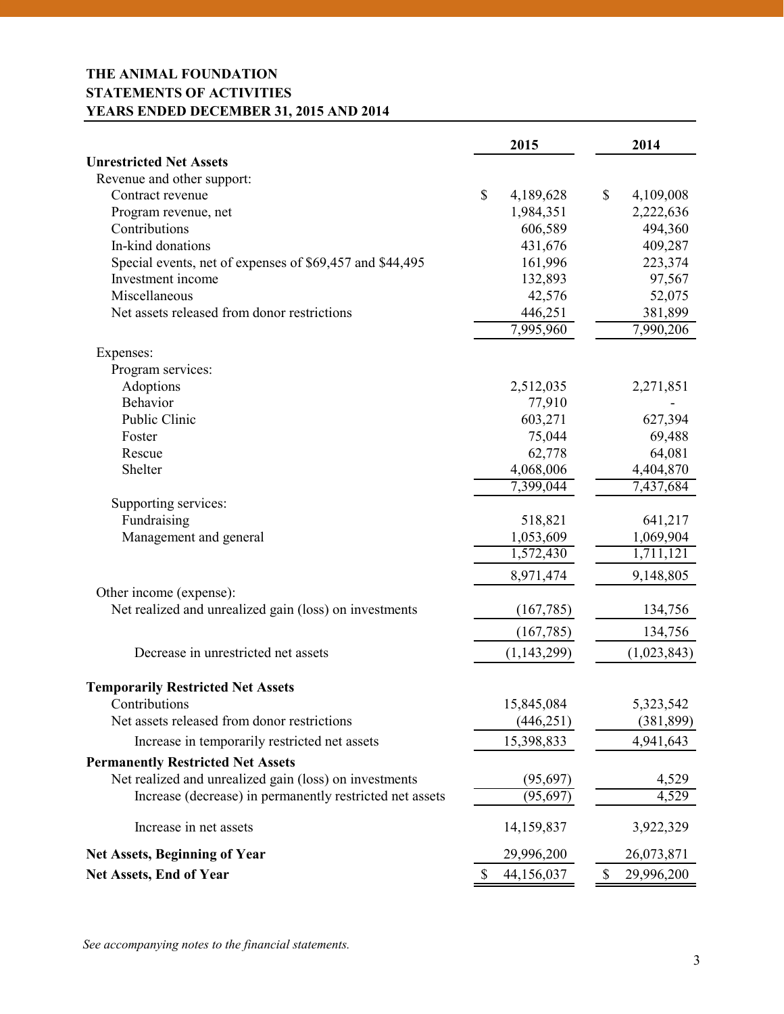# **THE ANIMAL FOUNDATION STATEMENTS OF ACTIVITIES YEARS ENDED DECEMBER 31, 2015 AND 2014**

|                                                          | 2015             | 2014             |
|----------------------------------------------------------|------------------|------------------|
| <b>Unrestricted Net Assets</b>                           |                  |                  |
| Revenue and other support:                               |                  |                  |
| Contract revenue                                         | \$<br>4,189,628  | \$<br>4,109,008  |
| Program revenue, net                                     | 1,984,351        | 2,222,636        |
| Contributions                                            | 606,589          | 494,360          |
| In-kind donations                                        | 431,676          | 409,287          |
| Special events, net of expenses of \$69,457 and \$44,495 | 161,996          | 223,374          |
| Investment income                                        | 132,893          | 97,567           |
| Miscellaneous                                            | 42,576           | 52,075           |
| Net assets released from donor restrictions              | 446,251          | 381,899          |
|                                                          | 7,995,960        | 7,990,206        |
| Expenses:                                                |                  |                  |
| Program services:                                        |                  |                  |
| Adoptions                                                | 2,512,035        | 2,271,851        |
| <b>Behavior</b>                                          | 77,910           |                  |
| Public Clinic                                            | 603,271          | 627,394          |
| Foster                                                   | 75,044           | 69,488           |
| Rescue                                                   | 62,778           | 64,081           |
| Shelter                                                  | 4,068,006        | 4,404,870        |
|                                                          | 7,399,044        | 7,437,684        |
| Supporting services:                                     |                  |                  |
| Fundraising                                              | 518,821          | 641,217          |
| Management and general                                   | 1,053,609        | 1,069,904        |
|                                                          | 1,572,430        | 1,711,121        |
|                                                          | 8,971,474        | 9,148,805        |
| Other income (expense):                                  |                  |                  |
| Net realized and unrealized gain (loss) on investments   | (167, 785)       | 134,756          |
|                                                          | (167, 785)       | 134,756          |
| Decrease in unrestricted net assets                      | (1, 143, 299)    | (1,023,843)      |
| <b>Temporarily Restricted Net Assets</b>                 |                  |                  |
| Contributions                                            | 15,845,084       | 5,323,542        |
| Net assets released from donor restrictions              | (446, 251)       | (381, 899)       |
| Increase in temporarily restricted net assets            | 15,398,833       | 4,941,643        |
| <b>Permanently Restricted Net Assets</b>                 |                  |                  |
| Net realized and unrealized gain (loss) on investments   | (95, 697)        | 4,529            |
| Increase (decrease) in permanently restricted net assets | (95, 697)        | 4,529            |
| Increase in net assets                                   | 14,159,837       | 3,922,329        |
| <b>Net Assets, Beginning of Year</b>                     | 29,996,200       | 26,073,871       |
| <b>Net Assets, End of Year</b>                           | \$<br>44,156,037 | \$<br>29,996,200 |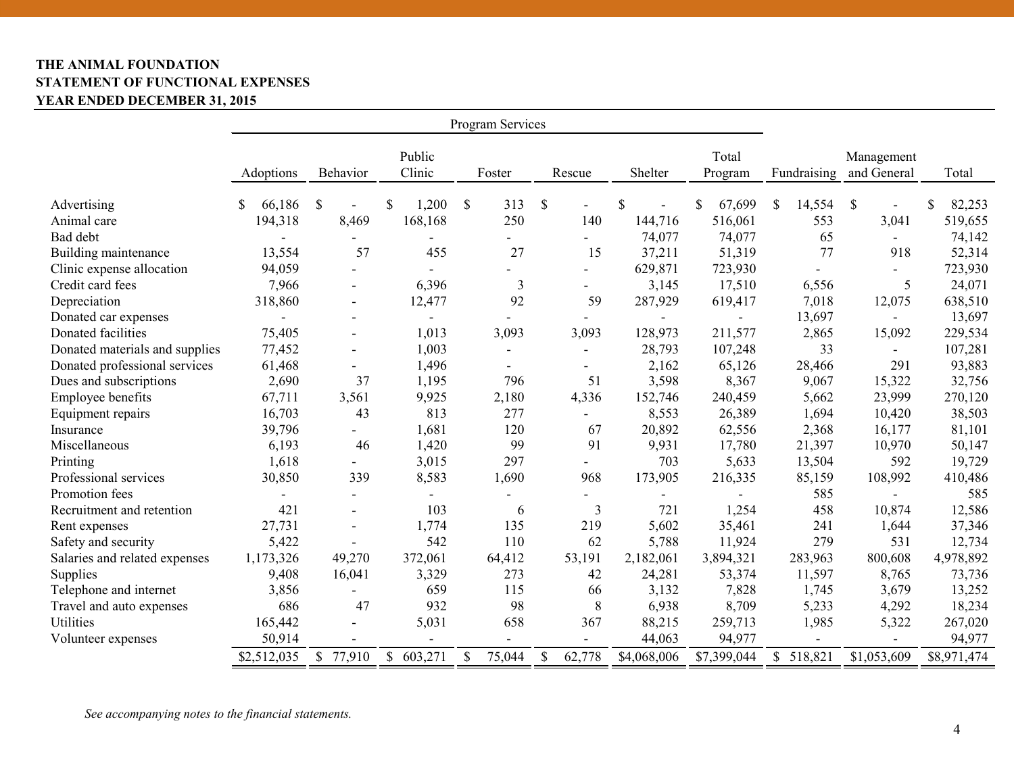# **THE ANIMAL FOUNDATION STATEMENT OF FUNCTIONAL EXPENSES YEAR ENDED DECEMBER 31, 2015**

| Program Services               |             |                          |                  |                        |                          |             |                  |              |                           |              |
|--------------------------------|-------------|--------------------------|------------------|------------------------|--------------------------|-------------|------------------|--------------|---------------------------|--------------|
|                                | Adoptions   | Behavior                 | Public<br>Clinic | Foster                 | Rescue                   | Shelter     | Total<br>Program | Fundraising  | Management<br>and General | Total        |
| Advertising                    | 66,186<br>S | $\mathcal{S}$            | 1,200<br>\$      | \$<br>313              | \$<br>$\blacksquare$     | \$          | 67,699<br>\$     | \$<br>14,554 | \$<br>$\blacksquare$      | 82,253<br>\$ |
| Animal care                    | 194,318     | 8,469                    | 168,168          | 250                    | 140                      | 144,716     | 516,061          | 553          | 3,041                     | 519,655      |
| Bad debt                       |             |                          |                  |                        |                          | 74,077      | 74,077           | 65           | $\sim$                    | 74,142       |
| Building maintenance           | 13,554      | 57                       | 455              | 27                     | 15                       | 37,211      | 51,319           | 77           | 918                       | 52,314       |
| Clinic expense allocation      | 94,059      |                          |                  |                        | $\overline{\phantom{a}}$ | 629,871     | 723,930          |              |                           | 723,930      |
| Credit card fees               | 7,966       |                          | 6,396            | 3                      | -                        | 3,145       | 17,510           | 6,556        | 5                         | 24,071       |
| Depreciation                   | 318,860     | $\blacksquare$           | 12,477           | 92                     | 59                       | 287,929     | 619,417          | 7,018        | 12,075                    | 638,510      |
| Donated car expenses           |             |                          |                  |                        |                          |             |                  | 13,697       | $\overline{\phantom{0}}$  | 13,697       |
| Donated facilities             | 75,405      | $\blacksquare$           | 1,013            | 3,093                  | 3,093                    | 128,973     | 211,577          | 2,865        | 15,092                    | 229,534      |
| Donated materials and supplies | 77,452      | $\blacksquare$           | 1,003            | $\overline{a}$         | $\blacksquare$           | 28,793      | 107,248          | 33           |                           | 107,281      |
| Donated professional services  | 61,468      |                          | 1,496            |                        | ۰                        | 2,162       | 65,126           | 28,466       | 291                       | 93,883       |
| Dues and subscriptions         | 2,690       | 37                       | 1,195            | 796                    | 51                       | 3,598       | 8,367            | 9,067        | 15,322                    | 32,756       |
| Employee benefits              | 67,711      | 3,561                    | 9,925            | 2,180                  | 4,336                    | 152,746     | 240,459          | 5,662        | 23,999                    | 270,120      |
| Equipment repairs              | 16,703      | 43                       | 813              | 277                    | Ξ.                       | 8,553       | 26,389           | 1,694        | 10,420                    | 38,503       |
| Insurance                      | 39,796      |                          | 1,681            | 120                    | 67                       | 20,892      | 62,556           | 2,368        | 16,177                    | 81,101       |
| Miscellaneous                  | 6,193       | 46                       | 1,420            | 99                     | 91                       | 9,931       | 17,780           | 21,397       | 10,970                    | 50,147       |
| Printing                       | 1,618       |                          | 3,015            | 297                    |                          | 703         | 5,633            | 13,504       | 592                       | 19,729       |
| Professional services          | 30,850      | 339                      | 8,583            | 1,690                  | 968                      | 173,905     | 216,335          | 85,159       | 108,992                   | 410,486      |
| Promotion fees                 |             |                          |                  |                        | $\sim$                   |             |                  | 585          |                           | 585          |
| Recruitment and retention      | 421         |                          | 103              | 6                      | 3                        | 721         | 1,254            | 458          | 10,874                    | 12,586       |
| Rent expenses                  | 27,731      | $\overline{\phantom{a}}$ | 1,774            | 135                    | 219                      | 5,602       | 35,461           | 241          | 1,644                     | 37,346       |
| Safety and security            | 5,422       |                          | 542              | 110                    | 62                       | 5,788       | 11,924           | 279          | 531                       | 12,734       |
| Salaries and related expenses  | 1,173,326   | 49,270                   | 372,061          | 64,412                 | 53,191                   | 2,182,061   | 3,894,321        | 283,963      | 800,608                   | 4,978,892    |
| <b>Supplies</b>                | 9,408       | 16,041                   | 3,329            | 273                    | 42                       | 24,281      | 53,374           | 11,597       | 8,765                     | 73,736       |
| Telephone and internet         | 3,856       |                          | 659              | 115                    | 66                       | 3,132       | 7,828            | 1,745        | 3,679                     | 13,252       |
| Travel and auto expenses       | 686         | 47                       | 932              | 98                     | $8\,$                    | 6,938       | 8,709            | 5,233        | 4,292                     | 18,234       |
| <b>Utilities</b>               | 165,442     |                          | 5,031            | 658                    | 367                      | 88,215      | 259,713          | 1,985        | 5,322                     | 267,020      |
| Volunteer expenses             | 50,914      |                          |                  |                        | $\overline{\phantom{0}}$ | 44,063      | 94,977           |              |                           | 94,977       |
|                                | \$2,512,035 | $\mathbb{S}$<br>77,910   | \$603,271        | $\mathbb{S}$<br>75,044 | $\mathcal{S}$<br>62,778  | \$4,068,006 | \$7,399,044      | \$518,821    | \$1,053,609               | \$8,971,474  |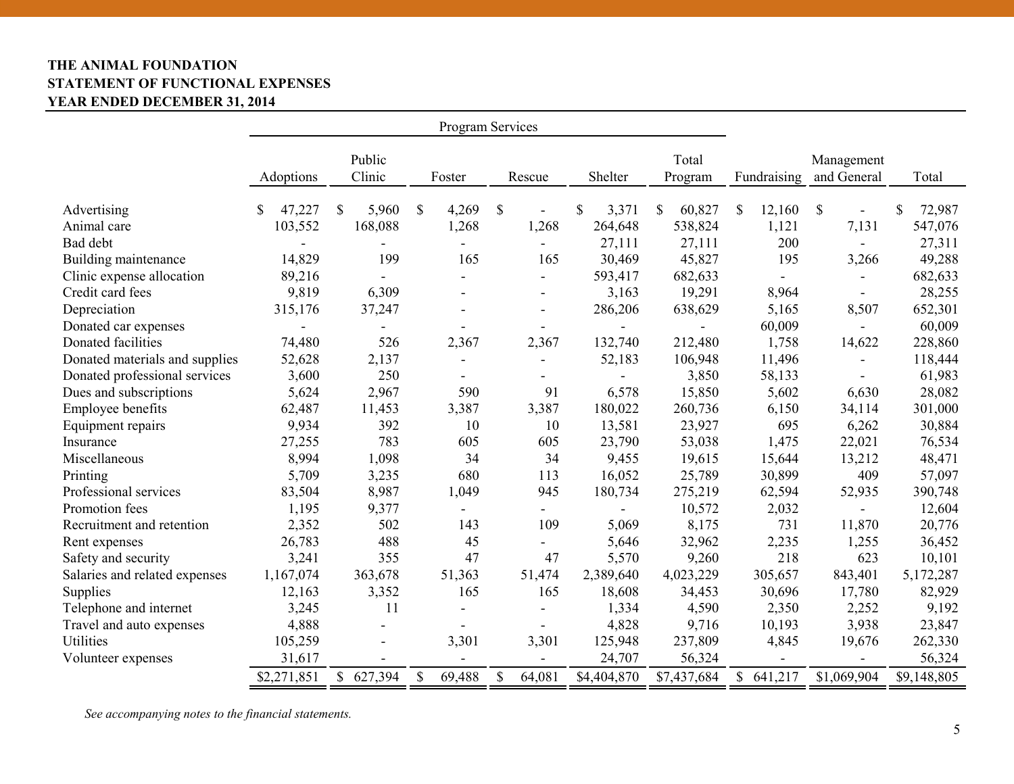# **THE ANIMAL FOUNDATION STATEMENT OF FUNCTIONAL EXPENSES YEAR ENDED DECEMBER 31, 2014**

| Program Services               |              |                  |                          |                          |             |                  |                         |                           |              |
|--------------------------------|--------------|------------------|--------------------------|--------------------------|-------------|------------------|-------------------------|---------------------------|--------------|
|                                | Adoptions    | Public<br>Clinic | Foster                   | Rescue                   | Shelter     | Total<br>Program | Fundraising             | Management<br>and General | Total        |
| Advertising                    | 47,227<br>S. | 5,960<br>\$      | \$<br>4,269              | \$                       | \$<br>3,371 | 60,827<br>\$     | \$<br>12,160            | $\mathcal{S}$             | 72,987<br>\$ |
| Animal care                    | 103,552      | 168,088          | 1,268                    | 1,268                    | 264,648     | 538,824          | 1,121                   | 7,131                     | 547,076      |
| Bad debt                       |              |                  | -                        |                          | 27,111      | 27,111           | 200                     | $\blacksquare$            | 27,311       |
| Building maintenance           | 14,829       | 199              | 165                      | 165                      | 30,469      | 45,827           | 195                     | 3,266                     | 49,288       |
| Clinic expense allocation      | 89,216       |                  | $\overline{a}$           |                          | 593,417     | 682,633          |                         | $\overline{\phantom{a}}$  | 682,633      |
| Credit card fees               | 9,819        | 6,309            | $\overline{\phantom{0}}$ |                          | 3,163       | 19,291           | 8,964                   |                           | 28,255       |
| Depreciation                   | 315,176      | 37,247           | $\overline{a}$           |                          | 286,206     | 638,629          | 5,165                   | 8,507                     | 652,301      |
| Donated car expenses           |              |                  |                          |                          |             | $\blacksquare$   | 60,009                  | $\blacksquare$            | 60,009       |
| Donated facilities             | 74,480       | 526              | 2,367                    | 2,367                    | 132,740     | 212,480          | 1,758                   | 14,622                    | 228,860      |
| Donated materials and supplies | 52,628       | 2,137            | -                        |                          | 52,183      | 106,948          | 11,496                  |                           | 118,444      |
| Donated professional services  | 3,600        | 250              | $\overline{a}$           | $\overline{\phantom{a}}$ |             | 3,850            | 58,133                  |                           | 61,983       |
| Dues and subscriptions         | 5,624        | 2,967            | 590                      | 91                       | 6,578       | 15,850           | 5,602                   | 6,630                     | 28,082       |
| <b>Employee benefits</b>       | 62,487       | 11,453           | 3,387                    | 3,387                    | 180,022     | 260,736          | 6,150                   | 34,114                    | 301,000      |
| Equipment repairs              | 9,934        | 392              | 10                       | 10                       | 13,581      | 23,927           | 695                     | 6,262                     | 30,884       |
| Insurance                      | 27,255       | 783              | 605                      | 605                      | 23,790      | 53,038           | 1,475                   | 22,021                    | 76,534       |
| Miscellaneous                  | 8,994        | 1,098            | 34                       | 34                       | 9,455       | 19,615           | 15,644                  | 13,212                    | 48,471       |
| Printing                       | 5,709        | 3,235            | 680                      | 113                      | 16,052      | 25,789           | 30,899                  | 409                       | 57,097       |
| Professional services          | 83,504       | 8,987            | 1,049                    | 945                      | 180,734     | 275,219          | 62,594                  | 52,935                    | 390,748      |
| Promotion fees                 | 1,195        | 9,377            | $\blacksquare$           |                          |             | 10,572           | 2,032                   |                           | 12,604       |
| Recruitment and retention      | 2,352        | 502              | 143                      | 109                      | 5,069       | 8,175            | 731                     | 11,870                    | 20,776       |
| Rent expenses                  | 26,783       | 488              | 45                       | $\sim$                   | 5,646       | 32,962           | 2,235                   | 1,255                     | 36,452       |
| Safety and security            | 3,241        | 355              | 47                       | 47                       | 5,570       | 9,260            | 218                     | 623                       | 10,101       |
| Salaries and related expenses  | 1,167,074    | 363,678          | 51,363                   | 51,474                   | 2,389,640   | 4,023,229        | 305,657                 | 843,401                   | 5,172,287    |
| Supplies                       | 12,163       | 3,352            | 165                      | 165                      | 18,608      | 34,453           | 30,696                  | 17,780                    | 82,929       |
| Telephone and internet         | 3,245        | 11               | $\overline{a}$           |                          | 1,334       | 4,590            | 2,350                   | 2,252                     | 9,192        |
| Travel and auto expenses       | 4,888        | $\blacksquare$   | -                        |                          | 4,828       | 9,716            | 10,193                  | 3,938                     | 23,847       |
| <b>Utilities</b>               | 105,259      |                  | 3,301                    | 3,301                    | 125,948     | 237,809          | 4,845                   | 19,676                    | 262,330      |
| Volunteer expenses             | 31,617       |                  |                          |                          | 24,707      | 56,324           |                         |                           | 56,324       |
|                                | \$2,271,851  | \$627,394        | $\mathbb{S}$<br>69,488   | \$<br>64,081             | \$4,404,870 | \$7,437,684      | $\mathbb{S}$<br>641,217 | \$1,069,904               | \$9,148,805  |

*See accompanying notes to the financial statements.*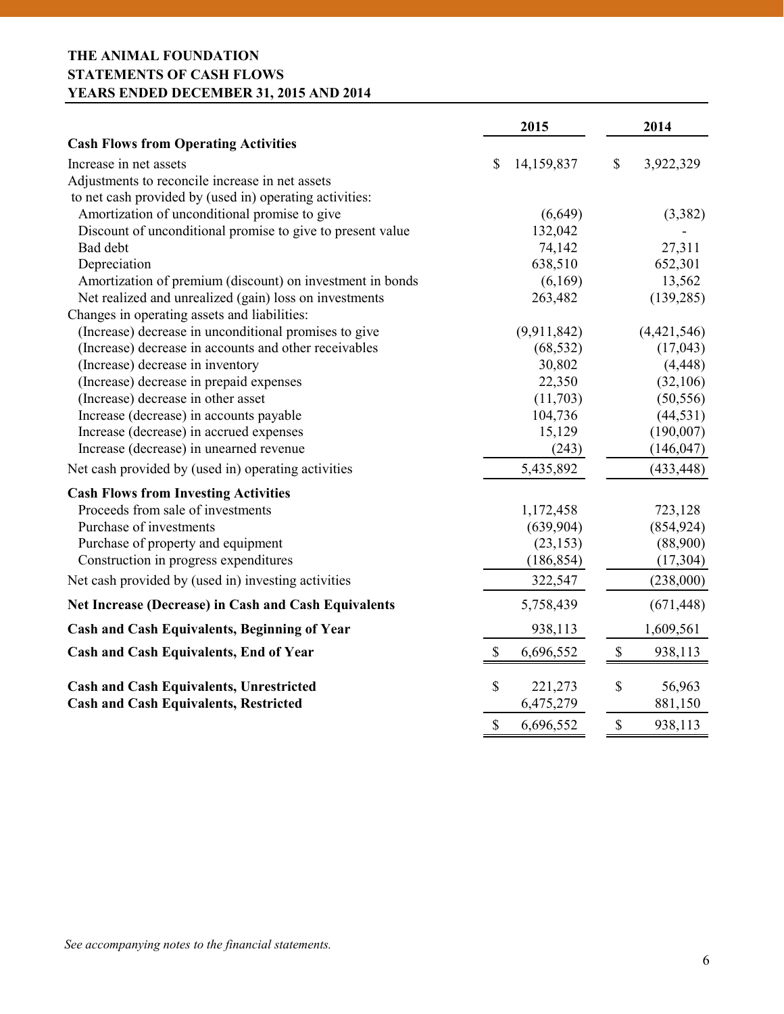# **THE ANIMAL FOUNDATION STATEMENTS OF CASH FLOWS YEARS ENDED DECEMBER 31, 2015 AND 2014**

|                                                             |               | 2015        |               | 2014        |
|-------------------------------------------------------------|---------------|-------------|---------------|-------------|
| <b>Cash Flows from Operating Activities</b>                 |               |             |               |             |
| Increase in net assets                                      | \$            | 14,159,837  | \$            | 3,922,329   |
| Adjustments to reconcile increase in net assets             |               |             |               |             |
| to net cash provided by (used in) operating activities:     |               |             |               |             |
| Amortization of unconditional promise to give               |               | (6,649)     |               | (3,382)     |
| Discount of unconditional promise to give to present value  |               | 132,042     |               |             |
| Bad debt                                                    |               | 74,142      |               | 27,311      |
| Depreciation                                                |               | 638,510     |               | 652,301     |
| Amortization of premium (discount) on investment in bonds   |               | (6,169)     |               | 13,562      |
| Net realized and unrealized (gain) loss on investments      |               | 263,482     |               | (139, 285)  |
| Changes in operating assets and liabilities:                |               |             |               |             |
| (Increase) decrease in unconditional promises to give       |               | (9,911,842) |               | (4,421,546) |
| (Increase) decrease in accounts and other receivables       |               | (68, 532)   |               | (17,043)    |
| (Increase) decrease in inventory                            |               | 30,802      |               | (4, 448)    |
| (Increase) decrease in prepaid expenses                     |               | 22,350      |               | (32,106)    |
| (Increase) decrease in other asset                          |               | (11,703)    |               | (50, 556)   |
| Increase (decrease) in accounts payable                     |               | 104,736     |               | (44, 531)   |
| Increase (decrease) in accrued expenses                     |               | 15,129      |               | (190,007)   |
| Increase (decrease) in unearned revenue                     |               | (243)       |               | (146, 047)  |
| Net cash provided by (used in) operating activities         |               | 5,435,892   |               | (433, 448)  |
| <b>Cash Flows from Investing Activities</b>                 |               |             |               |             |
| Proceeds from sale of investments                           |               | 1,172,458   |               | 723,128     |
| Purchase of investments                                     |               | (639,904)   |               | (854, 924)  |
| Purchase of property and equipment                          |               | (23, 153)   |               | (88,900)    |
| Construction in progress expenditures                       |               | (186, 854)  |               | (17, 304)   |
| Net cash provided by (used in) investing activities         |               | 322,547     |               | (238,000)   |
| <b>Net Increase (Decrease) in Cash and Cash Equivalents</b> |               | 5,758,439   |               | (671, 448)  |
| <b>Cash and Cash Equivalents, Beginning of Year</b>         |               | 938,113     |               | 1,609,561   |
| <b>Cash and Cash Equivalents, End of Year</b>               | \$            | 6,696,552   | $\mathbb S$   | 938,113     |
| <b>Cash and Cash Equivalents, Unrestricted</b>              | \$            | 221,273     | \$            | 56,963      |
| <b>Cash and Cash Equivalents, Restricted</b>                |               | 6,475,279   |               | 881,150     |
|                                                             | $\mathsf{\$}$ | 6,696,552   | $\mathsf{\$}$ | 938,113     |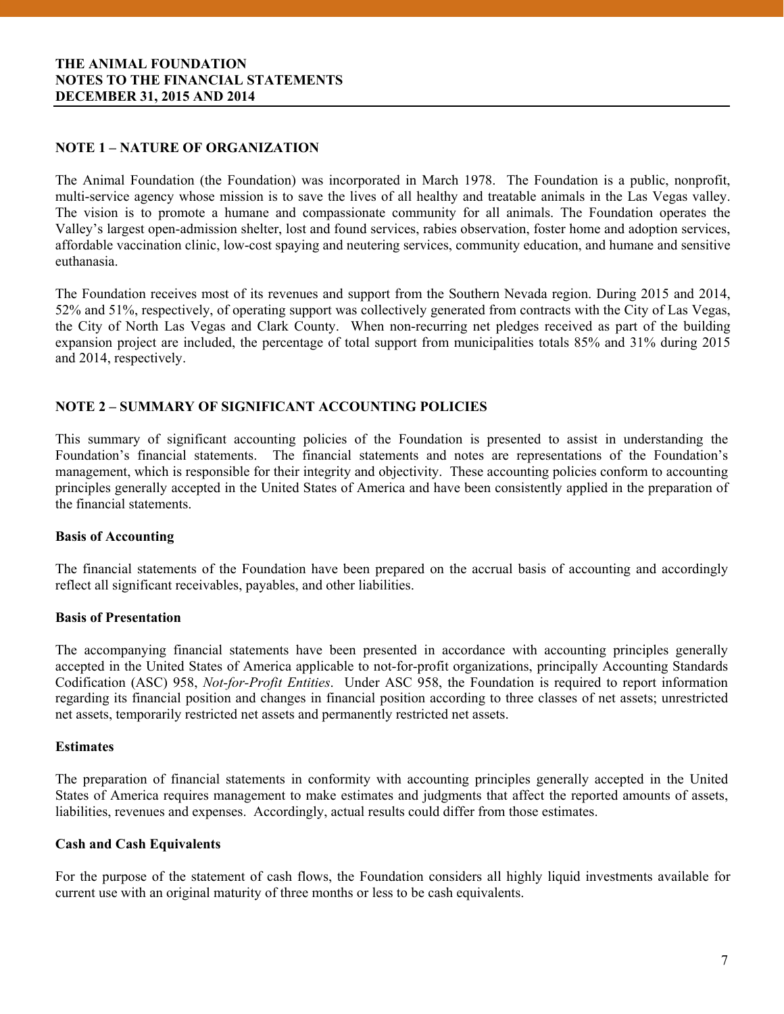# **THE ANIMAL FOUNDATION NOTES TO THE FINANCIAL STATEMENTS DECEMBER 31, 2015 AND 2014**

# **NOTE 1 – NATURE OF ORGANIZATION**

The Animal Foundation (the Foundation) was incorporated in March 1978. The Foundation is a public, nonprofit, multi-service agency whose mission is to save the lives of all healthy and treatable animals in the Las Vegas valley. The vision is to promote a humane and compassionate community for all animals. The Foundation operates the Valley's largest open-admission shelter, lost and found services, rabies observation, foster home and adoption services, affordable vaccination clinic, low-cost spaying and neutering services, community education, and humane and sensitive euthanasia.

The Foundation receives most of its revenues and support from the Southern Nevada region. During 2015 and 2014, 52% and 51%, respectively, of operating support was collectively generated from contracts with the City of Las Vegas, the City of North Las Vegas and Clark County. When non-recurring net pledges received as part of the building expansion project are included, the percentage of total support from municipalities totals 85% and 31% during 2015 and 2014, respectively.

## **NOTE 2 – SUMMARY OF SIGNIFICANT ACCOUNTING POLICIES**

This summary of significant accounting policies of the Foundation is presented to assist in understanding the Foundation's financial statements. The financial statements and notes are representations of the Foundation's management, which is responsible for their integrity and objectivity. These accounting policies conform to accounting principles generally accepted in the United States of America and have been consistently applied in the preparation of the financial statements.

## **Basis of Accounting**

The financial statements of the Foundation have been prepared on the accrual basis of accounting and accordingly reflect all significant receivables, payables, and other liabilities.

## **Basis of Presentation**

The accompanying financial statements have been presented in accordance with accounting principles generally accepted in the United States of America applicable to not-for-profit organizations, principally Accounting Standards Codification (ASC) 958, *Not-for-Profit Entities*. Under ASC 958, the Foundation is required to report information regarding its financial position and changes in financial position according to three classes of net assets; unrestricted net assets, temporarily restricted net assets and permanently restricted net assets.

#### **Estimates**

 The preparation of financial statements in conformity with accounting principles generally accepted in the United States of America requires management to make estimates and judgments that affect the reported amounts of assets, liabilities, revenues and expenses. Accordingly, actual results could differ from those estimates.

## **Cash and Cash Equivalents**

For the purpose of the statement of cash flows, the Foundation considers all highly liquid investments available for current use with an original maturity of three months or less to be cash equivalents.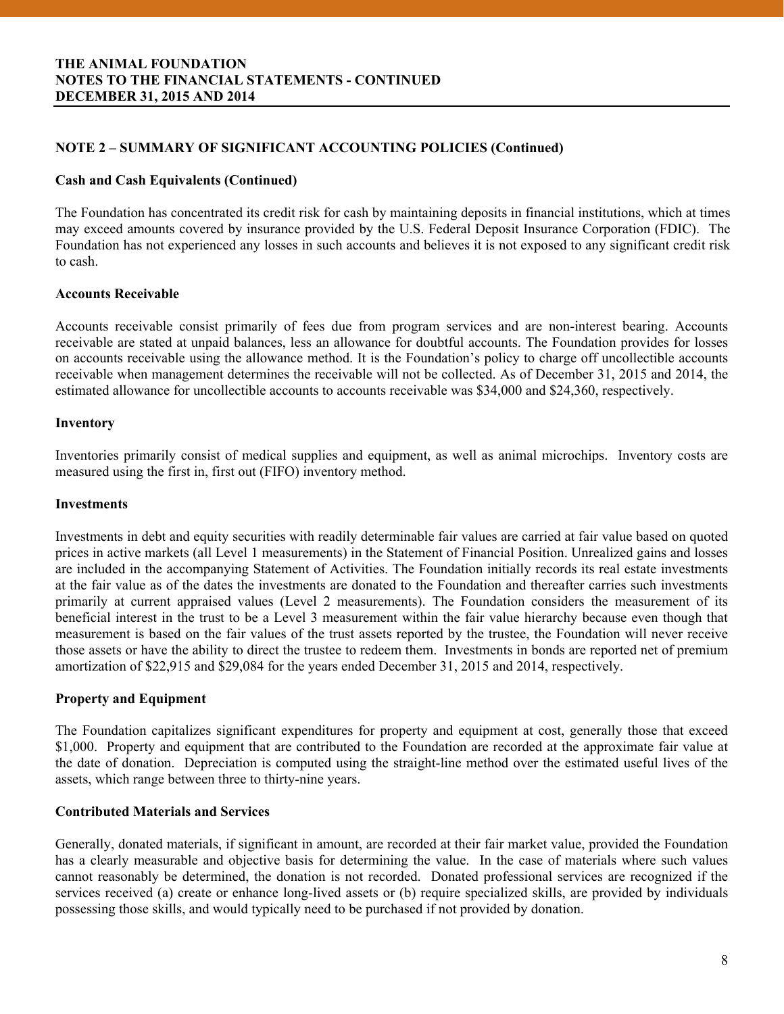# **NOTE 2 – SUMMARY OF SIGNIFICANT ACCOUNTING POLICIES (Continued)**

#### **Cash and Cash Equivalents (Continued)**

The Foundation has concentrated its credit risk for cash by maintaining deposits in financial institutions, which at times may exceed amounts covered by insurance provided by the U.S. Federal Deposit Insurance Corporation (FDIC). The Foundation has not experienced any losses in such accounts and believes it is not exposed to any significant credit risk to cash.

#### **Accounts Receivable**

Accounts receivable consist primarily of fees due from program services and are non-interest bearing. Accounts receivable are stated at unpaid balances, less an allowance for doubtful accounts. The Foundation provides for losses on accounts receivable using the allowance method. It is the Foundation's policy to charge off uncollectible accounts receivable when management determines the receivable will not be collected. As of December 31, 2015 and 2014, the estimated allowance for uncollectible accounts to accounts receivable was \$34,000 and \$24,360, respectively.

#### **Inventory**

Inventories primarily consist of medical supplies and equipment, as well as animal microchips. Inventory costs are measured using the first in, first out (FIFO) inventory method.

#### **Investments**

Investments in debt and equity securities with readily determinable fair values are carried at fair value based on quoted prices in active markets (all Level 1 measurements) in the Statement of Financial Position. Unrealized gains and losses are included in the accompanying Statement of Activities. The Foundation initially records its real estate investments at the fair value as of the dates the investments are donated to the Foundation and thereafter carries such investments primarily at current appraised values (Level 2 measurements). The Foundation considers the measurement of its beneficial interest in the trust to be a Level 3 measurement within the fair value hierarchy because even though that measurement is based on the fair values of the trust assets reported by the trustee, the Foundation will never receive those assets or have the ability to direct the trustee to redeem them. Investments in bonds are reported net of premium amortization of \$22,915 and \$29,084 for the years ended December 31, 2015 and 2014, respectively.

## **Property and Equipment**

 assets, which range between three to thirty-nine years. The Foundation capitalizes significant expenditures for property and equipment at cost, generally those that exceed \$1,000. Property and equipment that are contributed to the Foundation are recorded at the approximate fair value at the date of donation. Depreciation is computed using the straight-line method over the estimated useful lives of the

#### **Contributed Materials and Services**

Generally, donated materials, if significant in amount, are recorded at their fair market value, provided the Foundation has a clearly measurable and objective basis for determining the value. In the case of materials where such values cannot reasonably be determined, the donation is not recorded. Donated professional services are recognized if the services received (a) create or enhance long-lived assets or (b) require specialized skills, are provided by individuals possessing those skills, and would typically need to be purchased if not provided by donation.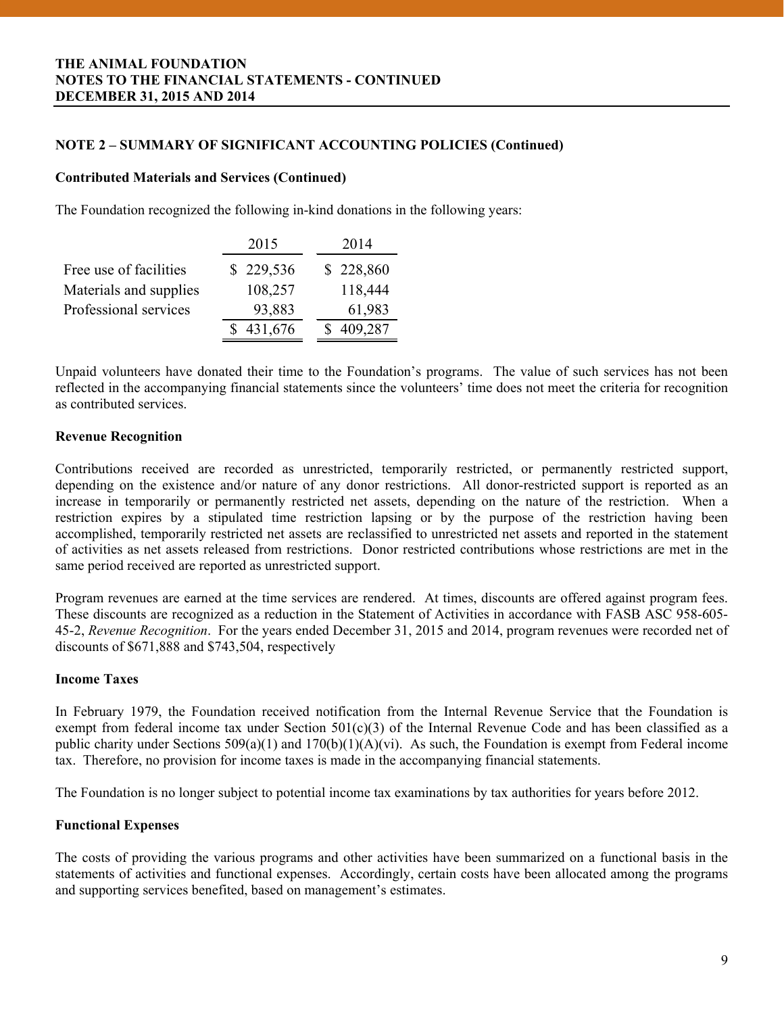# **NOTE 2 – SUMMARY OF SIGNIFICANT ACCOUNTING POLICIES (Continued)**

#### **Contributed Materials and Services (Continued)**

The Foundation recognized the following in-kind donations in the following years:

|                        | 2015      | 2014      |
|------------------------|-----------|-----------|
| Free use of facilities | \$229,536 | \$228,860 |
| Materials and supplies | 108,257   | 118,444   |
| Professional services  | 93,883    | 61,983    |
|                        | 431,676   | 409,287   |

Unpaid volunteers have donated their time to the Foundation's programs. The value of such services has not been reflected in the accompanying financial statements since the volunteers' time does not meet the criteria for recognition as contributed services.

# **Revenue Recognition**

Contributions received are recorded as unrestricted, temporarily restricted, or permanently restricted support, depending on the existence and/or nature of any donor restrictions. All donor-restricted support is reported as an increase in temporarily or permanently restricted net assets, depending on the nature of the restriction. When a restriction expires by a stipulated time restriction lapsing or by the purpose of the restriction having been accomplished, temporarily restricted net assets are reclassified to unrestricted net assets and reported in the statement of activities as net assets released from restrictions. Donor restricted contributions whose restrictions are met in the same period received are reported as unrestricted support.

Program revenues are earned at the time services are rendered. At times, discounts are offered against program fees. These discounts are recognized as a reduction in the Statement of Activities in accordance with FASB ASC 958-605- 45-2, *Revenue Recognition*. For the years ended December 31, 2015 and 2014, program revenues were recorded net of discounts of \$671,888 and \$743,504, respectively

## **Income Taxes**

In February 1979, the Foundation received notification from the Internal Revenue Service that the Foundation is exempt from federal income tax under Section  $501(c)(3)$  of the Internal Revenue Code and has been classified as a public charity under Sections 509(a)(1) and 170(b)(1)(A)(vi). As such, the Foundation is exempt from Federal income tax. Therefore, no provision for income taxes is made in the accompanying financial statements.

The Foundation is no longer subject to potential income tax examinations by tax authorities for years before 2012.

## **Functional Expenses**

The costs of providing the various programs and other activities have been summarized on a functional basis in the statements of activities and functional expenses. Accordingly, certain costs have been allocated among the programs and supporting services benefited, based on management's estimates.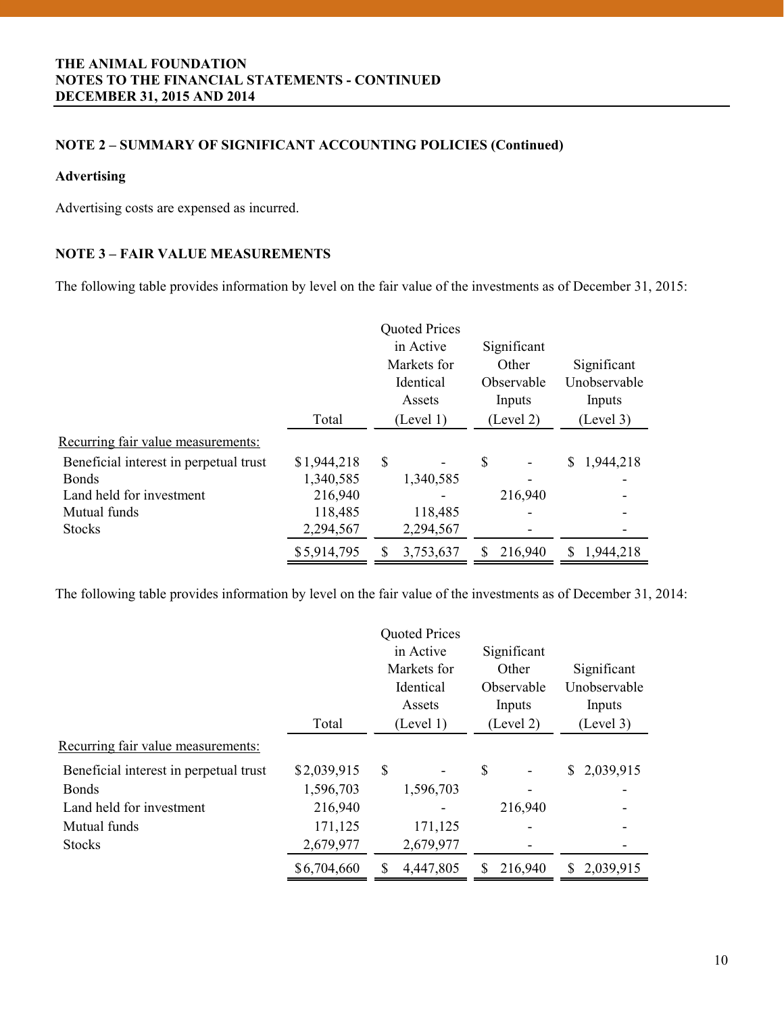# **NOTE 2 – SUMMARY OF SIGNIFICANT ACCOUNTING POLICIES (Continued)**

## **Advertising**

Advertising costs are expensed as incurred.

# **NOTE 3 – FAIR VALUE MEASUREMENTS**

The following table provides information by level on the fair value of the investments as of December 31, 2015:

|                                        | Total       | <b>Quoted Prices</b><br>in Active<br>Markets for<br>Identical<br>Assets<br>(Level 1) | Significant<br>Other<br>Observable<br>Inputs<br>(Level 2) | Significant<br>Unobservable<br>Inputs<br>(Level 3) |
|----------------------------------------|-------------|--------------------------------------------------------------------------------------|-----------------------------------------------------------|----------------------------------------------------|
| Recurring fair value measurements:     |             |                                                                                      |                                                           |                                                    |
| Beneficial interest in perpetual trust | \$1,944,218 | \$                                                                                   | \$                                                        | \$<br>1,944,218                                    |
| <b>B</b> onds                          | 1,340,585   | 1,340,585                                                                            |                                                           |                                                    |
| Land held for investment               | 216,940     |                                                                                      | 216,940                                                   |                                                    |
| Mutual funds                           | 118,485     | 118,485                                                                              |                                                           |                                                    |
| <b>Stocks</b>                          | 2,294,567   | 2,294,567                                                                            |                                                           |                                                    |
|                                        | \$5,914,795 | 3,753,637<br>S                                                                       | 216,940                                                   | 1,944,218<br>S                                     |

The following table provides information by level on the fair value of the investments as of December 31, 2014:

|                                        |             | <b>Quoted Prices</b> |             |    |              |
|----------------------------------------|-------------|----------------------|-------------|----|--------------|
|                                        |             | in Active            | Significant |    |              |
|                                        |             | Markets for          | Other       |    | Significant  |
|                                        |             | Identical            | Observable  |    | Unobservable |
|                                        |             | Assets               | Inputs      |    | Inputs       |
|                                        | Total       | (Level 1)            | (Level 2)   |    | (Level 3)    |
| Recurring fair value measurements:     |             |                      |             |    |              |
| Beneficial interest in perpetual trust | \$2,039,915 | \$                   | \$          | S. | 2,039,915    |
| <b>Bonds</b>                           | 1,596,703   | 1,596,703            |             |    |              |
| Land held for investment               | 216,940     |                      | 216,940     |    |              |
| Mutual funds                           | 171,125     | 171,125              |             |    |              |
| <b>Stocks</b>                          | 2,679,977   | 2,679,977            |             |    |              |
|                                        | \$6,704,660 | 4,447,805            | 216,940     | S  | 2,039,915    |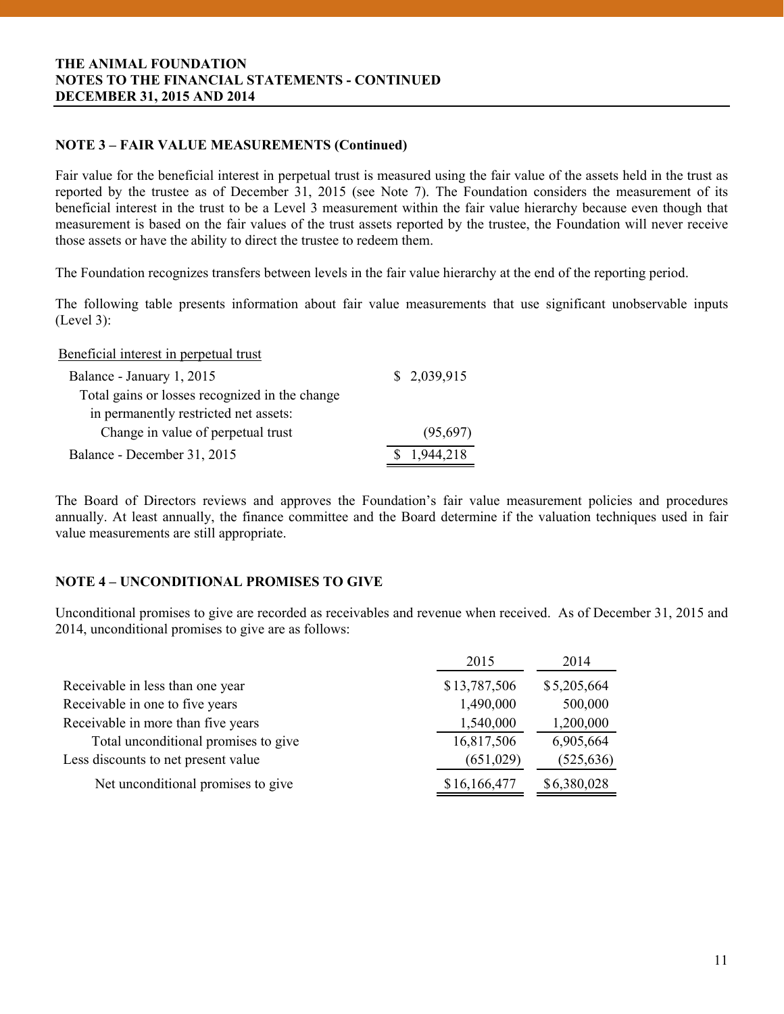# **NOTE 3 – FAIR VALUE MEASUREMENTS (Continued)**

Fair value for the beneficial interest in perpetual trust is measured using the fair value of the assets held in the trust as reported by the trustee as of December 31, 2015 (see Note 7). The Foundation considers the measurement of its beneficial interest in the trust to be a Level 3 measurement within the fair value hierarchy because even though that measurement is based on the fair values of the trust assets reported by the trustee, the Foundation will never receive those assets or have the ability to direct the trustee to redeem them.

The Foundation recognizes transfers between levels in the fair value hierarchy at the end of the reporting period.

The following table presents information about fair value measurements that use significant unobservable inputs (Level 3):

Beneficial interest in perpetual trust

| Balance - January 1, 2015                      | \$2,039,915 |
|------------------------------------------------|-------------|
| Total gains or losses recognized in the change |             |
| in permanently restricted net assets:          |             |
| Change in value of perpetual trust             | (95,697)    |
| Balance - December 31, 2015                    | 1,944,218   |

The Board of Directors reviews and approves the Foundation's fair value measurement policies and procedures annually. At least annually, the finance committee and the Board determine if the valuation techniques used in fair value measurements are still appropriate.

# **NOTE 4 – UNCONDITIONAL PROMISES TO GIVE**

Unconditional promises to give are recorded as receivables and revenue when received. As of December 31, 2015 and 2014, unconditional promises to give are as follows:

| 2015         | 2014        |
|--------------|-------------|
| \$13,787,506 | \$5,205,664 |
| 1,490,000    | 500,000     |
| 1,540,000    | 1,200,000   |
| 16,817,506   | 6,905,664   |
| (651,029)    | (525, 636)  |
| \$16,166,477 | \$6,380,028 |
|              |             |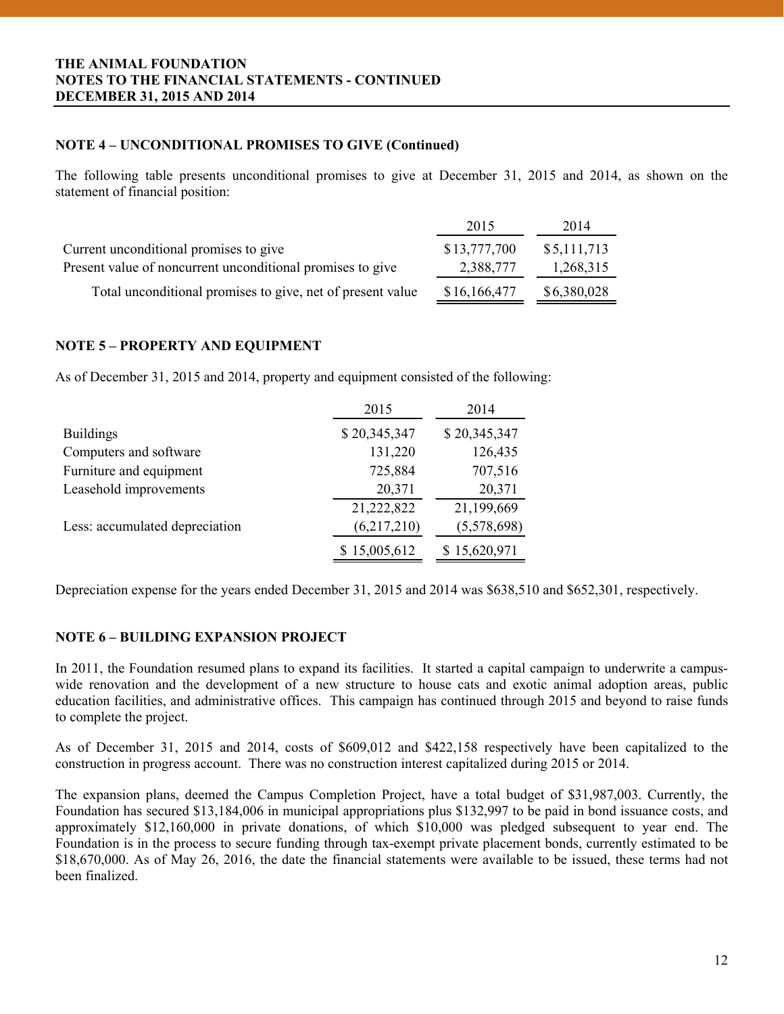## **THE ANIMAL FOUNDATION NOTES TO THE FINANCIAL STATEMENTS - CONTINUED DECEMBER 31, 2015 AND 2014**

## **NOTE 4 – UNCONDITIONAL PROMISES TO GIVE (Continued)**

The following table presents unconditional promises to give at December 31, 2015 and 2014, as shown on the statement of financial position:

|                                                            | 2015         | 2014        |
|------------------------------------------------------------|--------------|-------------|
| Current unconditional promises to give                     | \$13,777,700 | \$5,111,713 |
| Present value of noncurrent unconditional promises to give | 2,388,777    | 1,268,315   |
| Total unconditional promises to give, net of present value | \$16,166,477 | \$6,380,028 |

# **NOTE 5 – PROPERTY AND EQUIPMENT**

As of December 31, 2015 and 2014, property and equipment consisted of the following:

|                                | 2015         | 2014         |
|--------------------------------|--------------|--------------|
| <b>Buildings</b>               | \$20,345,347 | \$20,345,347 |
| Computers and software         | 131,220      | 126,435      |
| Furniture and equipment        | 725,884      | 707,516      |
| Leasehold improvements         | 20,371       | 20,371       |
|                                | 21,222,822   | 21,199,669   |
| Less: accumulated depreciation | (6,217,210)  | (5,578,698)  |
|                                | \$15,005,612 | \$15,620,971 |

Depreciation expense for the years ended December 31, 2015 and 2014 was \$638,510 and \$652,301, respectively.

## **NOTE 6 – BUILDING EXPANSION PROJECT**

In 2011, the Foundation resumed plans to expand its facilities. It started a capital campaign to underwrite a campuswide renovation and the development of a new structure to house cats and exotic animal adoption areas, public education facilities, and administrative offices. This campaign has continued through 2015 and beyond to raise funds to complete the project.

As of December 31, 2015 and 2014, costs of \$609,012 and \$422,158 respectively have been capitalized to the construction in progress account. There was no construction interest capitalized during 2015 or 2014.

The expansion plans, deemed the Campus Completion Project, have a total budget of \$31,987,003. Currently, the Foundation has secured \$13,184,006 in municipal appropriations plus \$132,997 to be paid in bond issuance costs, and approximately \$12,160,000 in private donations, of which \$10,000 was pledged subsequent to year end. The Foundation is in the process to secure funding through tax-exempt private placement bonds, currently estimated to be \$18,670,000. As of May 26, 2016, the date the financial statements were available to be issued, these terms had not been finalized.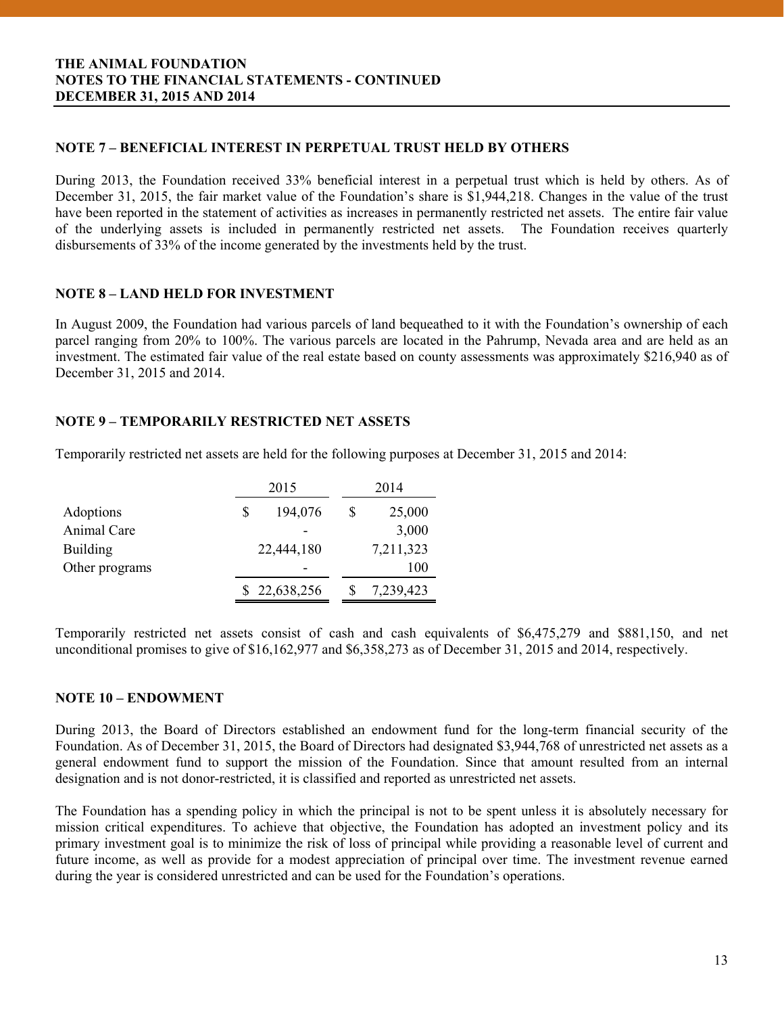## **NOTE 7 – BENEFICIAL INTEREST IN PERPETUAL TRUST HELD BY OTHERS**

During 2013, the Foundation received 33% beneficial interest in a perpetual trust which is held by others. As of December 31, 2015, the fair market value of the Foundation's share is \$1,944,218. Changes in the value of the trust have been reported in the statement of activities as increases in permanently restricted net assets. The entire fair value of the underlying assets is included in permanently restricted net assets. The Foundation receives quarterly disbursements of 33% of the income generated by the investments held by the trust.

## **NOTE 8 – LAND HELD FOR INVESTMENT**

In August 2009, the Foundation had various parcels of land bequeathed to it with the Foundation's ownership of each parcel ranging from 20% to 100%. The various parcels are located in the Pahrump, Nevada area and are held as an investment. The estimated fair value of the real estate based on county assessments was approximately \$216,940 as of December 31, 2015 and 2014.

# **NOTE 9 – TEMPORARILY RESTRICTED NET ASSETS**

Temporarily restricted net assets are held for the following purposes at December 31, 2015 and 2014:

|                 | 2015 |              |   | 2014      |  |
|-----------------|------|--------------|---|-----------|--|
| Adoptions       | S    | 194,076      | S | 25,000    |  |
| Animal Care     |      |              |   | 3,000     |  |
| <b>Building</b> |      | 22,444,180   |   | 7,211,323 |  |
| Other programs  |      |              |   | 100       |  |
|                 |      | \$22,638,256 |   | 7,239,423 |  |

Temporarily restricted net assets consist of cash and cash equivalents of \$6,475,279 and \$881,150, and net unconditional promises to give of \$16,162,977 and \$6,358,273 as of December 31, 2015 and 2014, respectively.

## **NOTE 10 – ENDOWMENT**

 designation and is not donor-restricted, it is classified and reported as unrestricted net assets. During 2013, the Board of Directors established an endowment fund for the long-term financial security of the Foundation. As of December 31, 2015, the Board of Directors had designated \$3,944,768 of unrestricted net assets as a general endowment fund to support the mission of the Foundation. Since that amount resulted from an internal

The Foundation has a spending policy in which the principal is not to be spent unless it is absolutely necessary for mission critical expenditures. To achieve that objective, the Foundation has adopted an investment policy and its primary investment goal is to minimize the risk of loss of principal while providing a reasonable level of current and future income, as well as provide for a modest appreciation of principal over time. The investment revenue earned during the year is considered unrestricted and can be used for the Foundation's operations.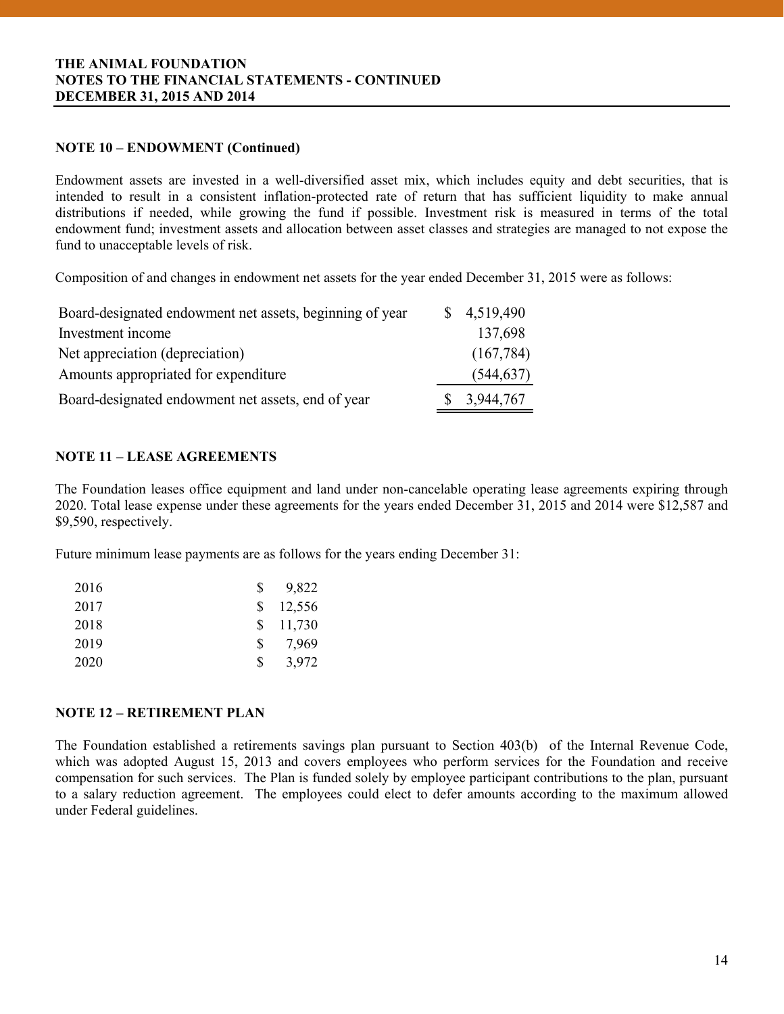# **NOTE 10 – ENDOWMENT (Continued)**

Endowment assets are invested in a well-diversified asset mix, which includes equity and debt securities, that is intended to result in a consistent inflation-protected rate of return that has sufficient liquidity to make annual distributions if needed, while growing the fund if possible. Investment risk is measured in terms of the total endowment fund; investment assets and allocation between asset classes and strategies are managed to not expose the fund to unacceptable levels of risk.

Composition of and changes in endowment net assets for the year ended December 31, 2015 were as follows:

| \$4,519,490 |
|-------------|
| 137,698     |
| (167, 784)  |
| (544, 637)  |
| 3,944,767   |
|             |

# **NOTE 11 – LEASE AGREEMENTS**

The Foundation leases office equipment and land under non-cancelable operating lease agreements expiring through 2020. Total lease expense under these agreements for the years ended December 31, 2015 and 2014 were \$12,587 and \$9,590, respectively.

Future minimum lease payments are as follows for the years ending December 31:

| 2016 | S  | 9,822  |
|------|----|--------|
| 2017 | S. | 12,556 |
| 2018 | S. | 11,730 |
| 2019 | S. | 7,969  |
| 2020 | S  | 3,972  |

# **NOTE 12 – RETIREMENT PLAN**

 compensation for such services. The Plan is funded solely by employee participant contributions to the plan, pursuant The Foundation established a retirements savings plan pursuant to Section 403(b) of the Internal Revenue Code, which was adopted August 15, 2013 and covers employees who perform services for the Foundation and receive to a salary reduction agreement. The employees could elect to defer amounts according to the maximum allowed under Federal guidelines.